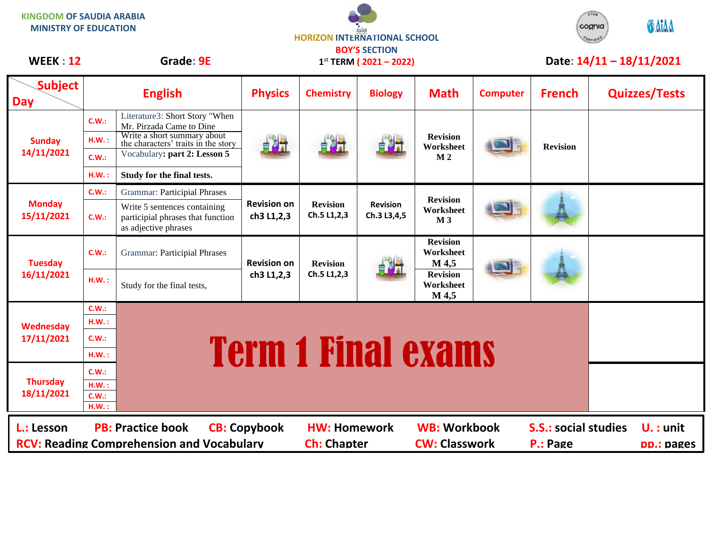| <b>KINGDOM OF SAUDIA ARABIA</b><br><b>MINISTRY OF EDUCATION</b>                                                                                                                                                                                          |                                  | <b>HORIZON INTERNATIONAL SCHOOL</b>                                                                                                                                                            |                                                     |                                |                                |                                                | <b>GAIAA</b><br>cognia <sup>.</sup> |                            |                           |                      |
|----------------------------------------------------------------------------------------------------------------------------------------------------------------------------------------------------------------------------------------------------------|----------------------------------|------------------------------------------------------------------------------------------------------------------------------------------------------------------------------------------------|-----------------------------------------------------|--------------------------------|--------------------------------|------------------------------------------------|-------------------------------------|----------------------------|---------------------------|----------------------|
| <b>WEEK: 12</b>                                                                                                                                                                                                                                          |                                  | Grade: 9E                                                                                                                                                                                      | <b>BOY'S SECTION</b><br>$1^{st}$ TERM (2021 – 2022) |                                |                                |                                                |                                     | Date: $14/11 - 18/11/2021$ |                           |                      |
| <b>Subject</b><br><b>Day</b>                                                                                                                                                                                                                             | <b>English</b>                   |                                                                                                                                                                                                | <b>Physics</b>                                      | <b>Chemistry</b>               | <b>Biology</b>                 | <b>Math</b>                                    | <b>Computer</b>                     | <b>French</b>              |                           | <b>Quizzes/Tests</b> |
| <b>Sunday</b><br>14/11/2021                                                                                                                                                                                                                              | C.W.:<br>H.W.:<br>C.W.:<br>H.W.: | Literature3: Short Story "When<br>Mr. Pirzada Came to Dine<br>Write a short summary about<br>the characters' traits in the story<br>Vocabulary: part 2: Lesson 5<br>Study for the final tests. | 自制式                                                 | 自对于                            | 自調計                            | <b>Revision</b><br>Worksheet<br>M <sub>2</sub> |                                     | <b>Revision</b>            |                           |                      |
| <b>Monday</b><br>15/11/2021                                                                                                                                                                                                                              | C.W.:                            | <b>Grammar: Participial Phrases</b>                                                                                                                                                            | <b>Revision on</b><br>ch3 L1,2,3                    | <b>Revision</b><br>Ch.5 L1,2,3 | <b>Revision</b><br>Ch.3 L3,4,5 | <b>Revision</b><br>Worksheet<br>M <sub>3</sub> |                                     |                            |                           |                      |
|                                                                                                                                                                                                                                                          | C.W.:                            | Write 5 sentences containing<br>participial phrases that function<br>as adjective phrases                                                                                                      |                                                     |                                |                                |                                                |                                     |                            |                           |                      |
| <b>Tuesday</b><br>16/11/2021                                                                                                                                                                                                                             | C.W.:                            | <b>Grammar: Participial Phrases</b>                                                                                                                                                            | <b>Revision on</b><br>ch3 L1,2,3                    | <b>Revision</b><br>Ch.5 L1,2,3 |                                | <b>Revision</b><br>Worksheet<br>M 4,5          |                                     |                            |                           |                      |
|                                                                                                                                                                                                                                                          | H.W.:                            | Study for the final tests,                                                                                                                                                                     |                                                     |                                |                                | <b>Revision</b><br>Worksheet<br>M 4,5          |                                     |                            |                           |                      |
| Wednesday<br>17/11/2021                                                                                                                                                                                                                                  | C.W.:<br>H.W.:                   |                                                                                                                                                                                                |                                                     |                                |                                |                                                |                                     |                            |                           |                      |
|                                                                                                                                                                                                                                                          | C.W.:                            | <b>Term 1 Final exams</b>                                                                                                                                                                      |                                                     |                                |                                |                                                |                                     |                            |                           |                      |
|                                                                                                                                                                                                                                                          | HM.:                             |                                                                                                                                                                                                |                                                     |                                |                                |                                                |                                     |                            |                           |                      |
| <b>Thursday</b><br>18/11/2021                                                                                                                                                                                                                            | C.W.:<br>H.W.:<br>C.W.:<br>H.W.: |                                                                                                                                                                                                |                                                     |                                |                                |                                                |                                     |                            |                           |                      |
| <b>PB: Practice book</b><br><b>HW: Homework</b><br><b>WB: Workbook</b><br><b>S.S.: social studies</b><br>L.: Lesson<br><b>CB: Copybook</b><br><b>RCV: Reading Comprehension and Vocabulary</b><br><b>Ch: Chapter</b><br><b>CW: Classwork</b><br>P.: Page |                                  |                                                                                                                                                                                                |                                                     |                                |                                |                                                |                                     |                            | $U.$ : unit<br>pp.: pages |                      |